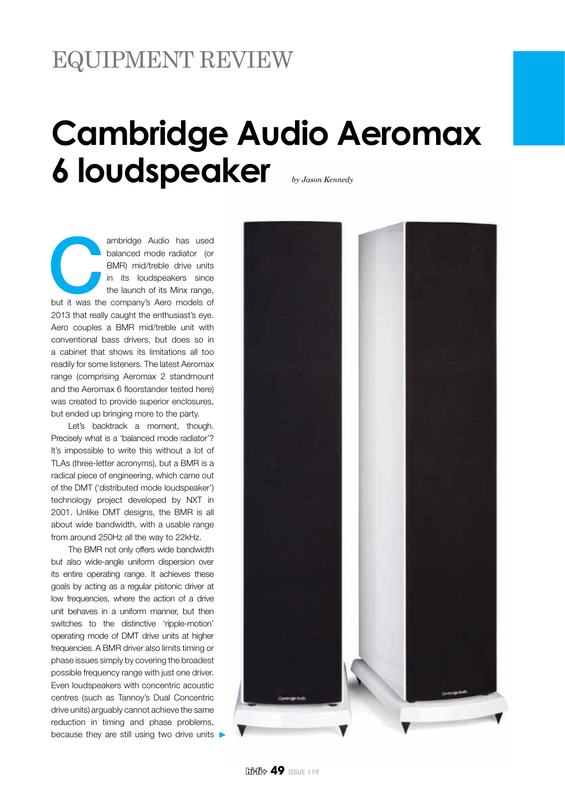## **Cambridge Audio Aeromax 6 loudspeaker** *by Jason Kennedy*

ambridge Audio has used<br>
balanced mode radiator (or<br>
BMR) mid/treble drive units<br>
in its loudspeakers since<br>
the launch of its Minx range,<br>
but it was the company's Aero models of balanced mode radiator (or BMR) mid/treble drive units in its loudspeakers since the launch of its Minx range, 2013 that really caught the enthusiast's eye. Aero couples a BMR mid/treble unit with conventional bass drivers, but does so in a cabinet that shows its limitations all too readily for some listeners. The latest Aeromax range (comprising Aeromax 2 standmount and the Aeromax 6 floorstander tested here) was created to provide superior enclosures, but ended up bringing more to the party.

Let's backtrack a moment, though. Precisely what is a 'balanced mode radiator'? It's impossible to write this without a lot of TLAs (three-letter acronyms), but a BMR is a radical piece of engineering, which came out of the DMT ('distributed mode loudspeaker') technology project developed by NXT in 2001. Unlike DMT designs, the BMR is all about wide bandwidth, with a usable range from around 250Hz all the way to 22kHz.

The BMR not only offers wide bandwidth but also wide-angle uniform dispersion over its entire operating range. It achieves these goals by acting as a regular pistonic driver at low frequencies, where the action of a drive unit behaves in a uniform manner, but then switches to the distinctive 'ripple-motion' operating mode of DMT drive units at higher frequencies. A BMR driver also limits timing or phase issues simply by covering the broadest possible frequency range with just one driver. Even loudspeakers with concentric acoustic centres (such as Tannoy's Dual Concentric drive units) arguably cannot achieve the same reduction in timing and phase problems, because they are still using two drive units

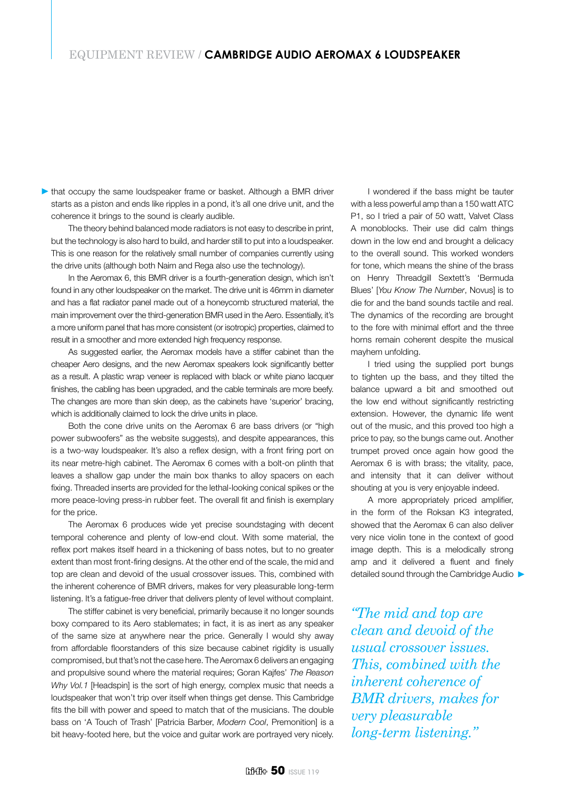## EQUIPMENT REVIEW / **CAMBRIDGE AUDIO AEROMAX 6 LOUDSPEAKER**

Intiat occupy the same loudspeaker frame or basket. Although a BMR driver starts as a piston and ends like ripples in a pond, it's all one drive unit, and the coherence it brings to the sound is clearly audible.

The theory behind balanced mode radiators is not easy to describe in print, but the technology is also hard to build, and harder still to put into a loudspeaker. This is one reason for the relatively small number of companies currently using the drive units (although both Naim and Rega also use the technology).

In the Aeromax 6, this BMR driver is a fourth-generation design, which isn't found in any other loudspeaker on the market. The drive unit is 46mm in diameter and has a flat radiator panel made out of a honeycomb structured material, the main improvement over the third-generation BMR used in the Aero. Essentially, it's a more uniform panel that has more consistent (or isotropic) properties, claimed to result in a smoother and more extended high frequency response.

As suggested earlier, the Aeromax models have a stiffer cabinet than the cheaper Aero designs, and the new Aeromax speakers look significantly better as a result. A plastic wrap veneer is replaced with black or white piano lacquer finishes, the cabling has been upgraded, and the cable terminals are more beefy. The changes are more than skin deep, as the cabinets have 'superior' bracing, which is additionally claimed to lock the drive units in place.

Both the cone drive units on the Aeromax 6 are bass drivers (or "high power subwoofers" as the website suggests), and despite appearances, this is a two-way loudspeaker. It's also a reflex design, with a front firing port on its near metre-high cabinet. The Aeromax 6 comes with a bolt-on plinth that leaves a shallow gap under the main box thanks to alloy spacers on each fixing. Threaded inserts are provided for the lethal-looking conical spikes or the more peace-loving press-in rubber feet. The overall fit and finish is exemplary for the price.

The Aeromax 6 produces wide yet precise soundstaging with decent temporal coherence and plenty of low-end clout. With some material, the reflex port makes itself heard in a thickening of bass notes, but to no greater extent than most front-firing designs. At the other end of the scale, the mid and top are clean and devoid of the usual crossover issues. This, combined with the inherent coherence of BMR drivers, makes for very pleasurable long-term listening. It's a fatigue-free driver that delivers plenty of level without complaint.

The stiffer cabinet is very beneficial, primarily because it no longer sounds boxy compared to its Aero stablemates; in fact, it is as inert as any speaker of the same size at anywhere near the price. Generally I would shy away from affordable floorstanders of this size because cabinet rigidity is usually compromised, but that's not the case here. The Aeromax 6 delivers an engaging and propulsive sound where the material requires; Goran Kajfes' *The Reason Why Vol.1* [Headspin] is the sort of high energy, complex music that needs a loudspeaker that won't trip over itself when things get dense. This Cambridge fits the bill with power and speed to match that of the musicians. The double bass on 'A Touch of Trash' [Patricia Barber, *Modern Cool*, Premonition] is a bit heavy-footed here, but the voice and guitar work are portrayed very nicely.

I wondered if the bass might be tauter with a less powerful amp than a 150 watt ATC P1, so I tried a pair of 50 watt, Valvet Class A monoblocks. Their use did calm things down in the low end and brought a delicacy to the overall sound. This worked wonders for tone, which means the shine of the brass on Henry Threadgill Sextett's 'Bermuda Blues' [*You Know The Number*, Novus] is to die for and the band sounds tactile and real. The dynamics of the recording are brought to the fore with minimal effort and the three horns remain coherent despite the musical mayhem unfolding.

I tried using the supplied port bungs to tighten up the bass, and they tilted the balance upward a bit and smoothed out the low end without significantly restricting extension. However, the dynamic life went out of the music, and this proved too high a price to pay, so the bungs came out. Another trumpet proved once again how good the Aeromax 6 is with brass; the vitality, pace, and intensity that it can deliver without shouting at you is very enjoyable indeed.

A more appropriately priced amplifier, in the form of the Roksan K3 integrated, showed that the Aeromax 6 can also deliver very nice violin tone in the context of good image depth. This is a melodically strong amp and it delivered a fluent and finely detailed sound through the Cambridge Audio

*"The mid and top are clean and devoid of the usual crossover issues. This, combined with the inherent coherence of BMR drivers, makes for very pleasurable long-term listening."*